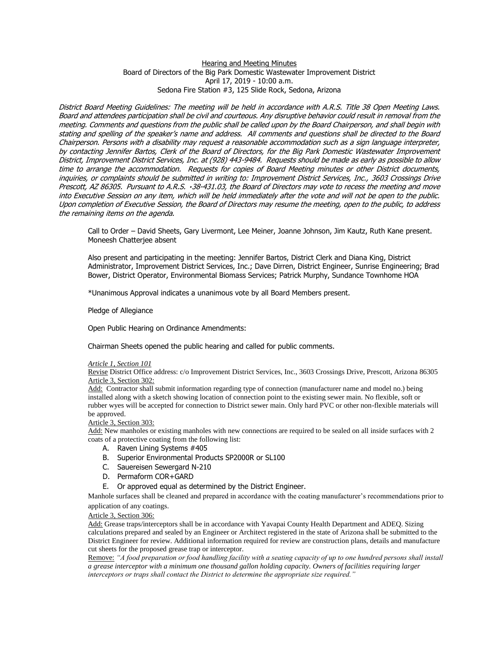## Hearing and Meeting Minutes Board of Directors of the Big Park Domestic Wastewater Improvement District April 17, 2019 - 10:00 a.m. Sedona Fire Station #3, 125 Slide Rock, Sedona, Arizona

District Board Meeting Guidelines: The meeting will be held in accordance with A.R.S. Title 38 Open Meeting Laws. Board and attendees participation shall be civil and courteous. Any disruptive behavior could result in removal from the meeting. Comments and questions from the public shall be called upon by the Board Chairperson, and shall begin with stating and spelling of the speaker's name and address. All comments and questions shall be directed to the Board Chairperson. Persons with a disability may request a reasonable accommodation such as a sign language interpreter, by contacting Jennifer Bartos, Clerk of the Board of Directors, for the Big Park Domestic Wastewater Improvement District, Improvement District Services, Inc. at (928) 443-9484. Requests should be made as early as possible to allow time to arrange the accommodation. Requests for copies of Board Meeting minutes or other District documents, inquiries, or complaints should be submitted in writing to: Improvement District Services, Inc., 3603 Crossings Drive Prescott, AZ 86305. Pursuant to A.R.S. 38-431.03, the Board of Directors may vote to recess the meeting and move into Executive Session on any item, which will be held immediately after the vote and will not be open to the public. Upon completion of Executive Session, the Board of Directors may resume the meeting, open to the public, to address the remaining items on the agenda.

Call to Order – David Sheets, Gary Livermont, Lee Meiner, Joanne Johnson, Jim Kautz, Ruth Kane present. Moneesh Chatterjee absent

Also present and participating in the meeting: Jennifer Bartos, District Clerk and Diana King, District Administrator, Improvement District Services, Inc.; Dave Dirren, District Engineer, Sunrise Engineering; Brad Bower, District Operator, Environmental Biomass Services; Patrick Murphy, Sundance Townhome HOA

\*Unanimous Approval indicates a unanimous vote by all Board Members present.

Pledge of Allegiance

Open Public Hearing on Ordinance Amendments:

Chairman Sheets opened the public hearing and called for public comments.

## *Article 1, Section 101*

Revise District Office address: c/o Improvement District Services, Inc., 3603 Crossings Drive, Prescott, Arizona 86305 Article 3, Section 302:

Add: Contractor shall submit information regarding type of connection (manufacturer name and model no.) being installed along with a sketch showing location of connection point to the existing sewer main. No flexible, soft or rubber wyes will be accepted for connection to District sewer main. Only hard PVC or other non-flexible materials will be approved.

## Article 3, Section 303:

Add: New manholes or existing manholes with new connections are required to be sealed on all inside surfaces with 2 coats of a protective coating from the following list:

- A. Raven Lining Systems #405
- B. Superior Environmental Products SP2000R or SL100
- C. Sauereisen Sewergard N-210
- D. Permaform COR+GARD
- E. Or approved equal as determined by the District Engineer.

Manhole surfaces shall be cleaned and prepared in accordance with the coating manufacturer's recommendations prior to application of any coatings.

## Article 3, Section 306:

Add: Grease traps/interceptors shall be in accordance with Yavapai County Health Department and ADEQ. Sizing calculations prepared and sealed by an Engineer or Architect registered in the state of Arizona shall be submitted to the District Engineer for review. Additional information required for review are construction plans, details and manufacture cut sheets for the proposed grease trap or interceptor.

Remove: *"A food preparation or food handling facility with a seating capacity of up to one hundred persons shall install a grease interceptor with a minimum one thousand gallon holding capacity. Owners of facilities requiring larger interceptors or traps shall contact the District to determine the appropriate size required."*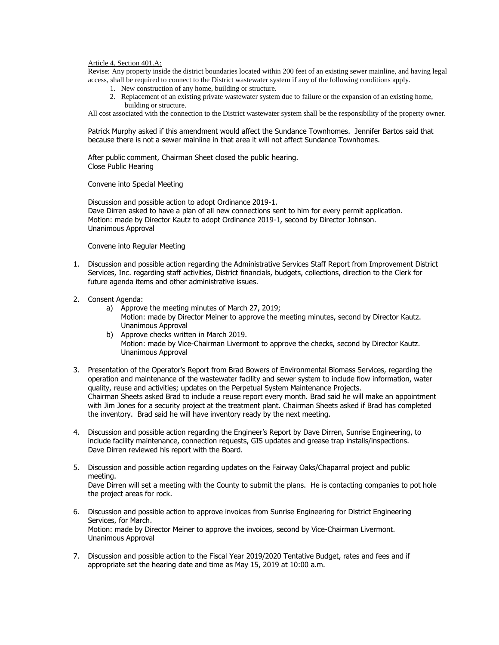Article 4, Section 401.A:

Revise: Any property inside the district boundaries located within 200 feet of an existing sewer mainline, and having legal access, shall be required to connect to the District wastewater system if any of the following conditions apply.

- 1. New construction of any home, building or structure.
- 2. Replacement of an existing private wastewater system due to failure or the expansion of an existing home, building or structure.

All cost associated with the connection to the District wastewater system shall be the responsibility of the property owner.

Patrick Murphy asked if this amendment would affect the Sundance Townhomes. Jennifer Bartos said that because there is not a sewer mainline in that area it will not affect Sundance Townhomes.

After public comment, Chairman Sheet closed the public hearing. Close Public Hearing

Convene into Special Meeting

Discussion and possible action to adopt Ordinance 2019-1. Dave Dirren asked to have a plan of all new connections sent to him for every permit application. Motion: made by Director Kautz to adopt Ordinance 2019-1, second by Director Johnson. Unanimous Approval

Convene into Regular Meeting

- 1. Discussion and possible action regarding the Administrative Services Staff Report from Improvement District Services, Inc. regarding staff activities, District financials, budgets, collections, direction to the Clerk for future agenda items and other administrative issues.
- 2. Consent Agenda:
	- a) Approve the meeting minutes of March 27, 2019; Motion: made by Director Meiner to approve the meeting minutes, second by Director Kautz. Unanimous Approval
	- b) Approve checks written in March 2019. Motion: made by Vice-Chairman Livermont to approve the checks, second by Director Kautz. Unanimous Approval
- 3. Presentation of the Operator's Report from Brad Bowers of Environmental Biomass Services, regarding the operation and maintenance of the wastewater facility and sewer system to include flow information, water quality, reuse and activities; updates on the Perpetual System Maintenance Projects. Chairman Sheets asked Brad to include a reuse report every month. Brad said he will make an appointment with Jim Jones for a security project at the treatment plant. Chairman Sheets asked if Brad has completed the inventory. Brad said he will have inventory ready by the next meeting.
- 4. Discussion and possible action regarding the Engineer's Report by Dave Dirren, Sunrise Engineering, to include facility maintenance, connection requests, GIS updates and grease trap installs/inspections. Dave Dirren reviewed his report with the Board.
- 5. Discussion and possible action regarding updates on the Fairway Oaks/Chaparral project and public meeting. Dave Dirren will set a meeting with the County to submit the plans. He is contacting companies to pot hole the project areas for rock.
- 6. Discussion and possible action to approve invoices from Sunrise Engineering for District Engineering Services, for March. Motion: made by Director Meiner to approve the invoices, second by Vice-Chairman Livermont. Unanimous Approval
- 7. Discussion and possible action to the Fiscal Year 2019/2020 Tentative Budget, rates and fees and if appropriate set the hearing date and time as May 15, 2019 at 10:00 a.m.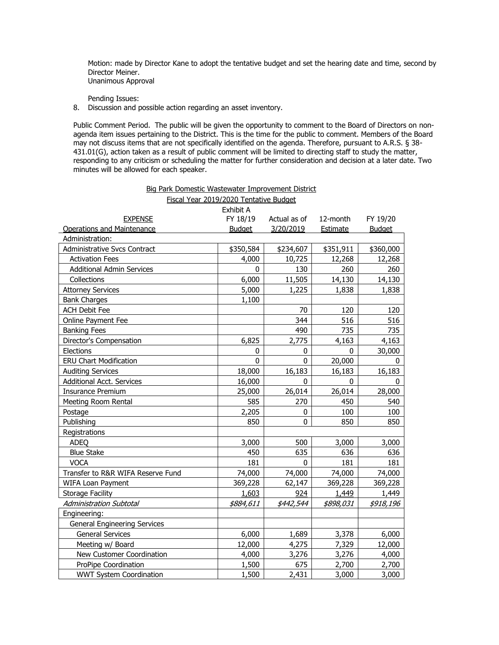Motion: made by Director Kane to adopt the tentative budget and set the hearing date and time, second by Director Meiner. Unanimous Approval

Pending Issues:

8. Discussion and possible action regarding an asset inventory.

Public Comment Period. The public will be given the opportunity to comment to the Board of Directors on nonagenda item issues pertaining to the District. This is the time for the public to comment. Members of the Board may not discuss items that are not specifically identified on the agenda. Therefore, pursuant to A.R.S. § 38- 431.01(G), action taken as a result of public comment will be limited to directing staff to study the matter, responding to any criticism or scheduling the matter for further consideration and decision at a later date. Two minutes will be allowed for each speaker.

Big Park Domestic Wastewater Improvement District

Fiscal Year 2019/2020 Tentative Budget Exhibit A EXPENSE FY 18/19 Actual as of 12-month FY 19/20 Operations and Maintenance Budget 3/20/2019 Estimate Budget Administration: Administrative Svcs Contract 1 4350,584 | \$234,607 | \$351,911 | \$360,000 Activation Fees 2012 10,725 12,268 12,268 12,268 12,268 12,268 Additional Admin Services 1 130 130 260 260 Collections 6,000 11,505 14,130 14,130 Attorney Services 1,838 1,838 1,838 Bank Charges 2,100 ACH Debit Fee 70 120 120 Online Payment Fee 344 516 516 Banking Fees 235 235 235 235 236 237 238 239 239 239 235 235 235 235 235 235 235 235 235 236 237 238 237 237 2 Director's Compensation 1 6,825 2,775 4,163 4,163 Elections 0 0 0 30,000 ERU Chart Modification 0 0 20,000 0 Auditing Services 18,000 16,183 16,183 16,183 16,183 Additional Acct. Services 16,000 0 0 0 Insurance Premium 25,000 26,014 26,014 28,000 Meeting Room Rental 585 270 450 540 Postage 2,205 0 100 100 Publishing 850 0 850 850 **Registrations** ADEQ 3,000 500 | 3,000 | 3,000 Blue Stake 450 635 636 636 VOCA 181 0 181 181 Transfer to R&R WIFA Reserve Fund 74,000 74,000 74,000 74,000 WIFA Loan Payment 369,228 62,147 369,228 369,228 Storage Facility **1,449** 1,449 1,449 1,449 1,449 1,449 1,449 1,449 Administration Subtotal \$884,611 \$442,544 \$898,031 \$918,196 Engineering: General Engineering Services General Services 6,000 1,689 3,378 6,000 Meeting w/ Board 12,000 12,000 12,000 14,275 12,000 12,000 New Customer Coordination 1 4,000 3,276 3,276 4,000 ProPipe Coordination 1,500 675 2,700 2,700 WWT System Coordination  $\begin{array}{|c|c|c|c|c|c|c|c|c|} \hline \end{array}$  1,500  $\begin{array}{|c|c|c|c|c|c|c|c|} \hline \end{array}$  3,000 3,000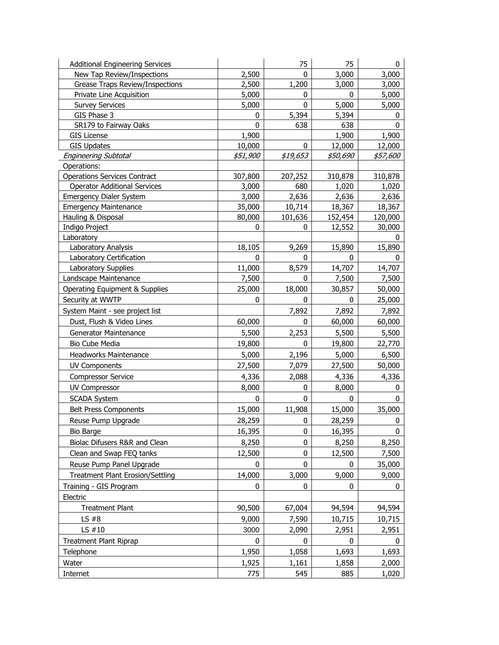| <b>Additional Engineering Services</b>  |                        | 75           | 75                     | 0                      |
|-----------------------------------------|------------------------|--------------|------------------------|------------------------|
| New Tap Review/Inspections              | 2,500                  | 0            | 3,000                  | 3,000                  |
| <b>Grease Traps Review/Inspections</b>  | 2,500                  | 1,200        | 3,000                  | 3,000                  |
| Private Line Acquisition                | 5,000                  | 0            | 0                      | 5,000                  |
| <b>Survey Services</b>                  | 5,000                  | $\mathbf{0}$ | 5,000                  | 5,000                  |
| GIS Phase 3                             | 0                      | 5,394        | 5,394                  | 0                      |
| SR179 to Fairway Oaks                   | 0                      | 638          | 638                    | $\mathbf{0}$           |
| <b>GIS License</b>                      | 1,900                  |              | 1,900                  | 1,900                  |
| <b>GIS Updates</b>                      | 10,000                 | 0            | 12,000                 | 12,000                 |
| <b>Engineering Subtotal</b>             | <i><b>\$51,900</b></i> | \$19,653     | <i><b>\$50,690</b></i> | <i><b>\$57,600</b></i> |
| Operations:                             |                        |              |                        |                        |
| <b>Operations Services Contract</b>     | 307,800                | 207,252      | 310,878                | 310,878                |
| <b>Operator Additional Services</b>     | 3,000                  | 680          | 1,020                  | 1,020                  |
| <b>Emergency Dialer System</b>          | 3,000                  | 2,636        | 2,636                  | 2,636                  |
| <b>Emergency Maintenance</b>            | 35,000                 | 10,714       | 18,367                 | 18,367                 |
| Hauling & Disposal                      | 80,000<br>0            | 101,636<br>0 | 152,454                | 120,000                |
| Indigo Project<br>Laboratory            |                        |              | 12,552                 | 30,000<br>0            |
| Laboratory Analysis                     | 18,105                 | 9,269        | 15,890                 | 15,890                 |
| Laboratory Certification                | 0                      | $\mathbf{0}$ | 0                      | <sup>0</sup>           |
| Laboratory Supplies                     | 11,000                 | 8,579        | 14,707                 | 14,707                 |
| Landscape Maintenance                   | 7,500                  | 0            | 7,500                  | 7,500                  |
| Operating Equipment & Supplies          | 25,000                 | 18,000       | 30,857                 | 50,000                 |
| Security at WWTP                        | 0                      | 0            | 0                      | 25,000                 |
| System Maint - see project list         |                        | 7,892        | 7,892                  | 7,892                  |
| Dust, Flush & Video Lines               | 60,000                 | 0            | 60,000                 | 60,000                 |
|                                         |                        | 2,253        |                        |                        |
| Generator Maintenance                   | 5,500                  |              | 5,500                  | 5,500                  |
| Bio Cube Media                          | 19,800                 | 0            | 19,800                 | 22,770                 |
| Headworks Maintenance                   | 5,000                  | 2,196        | 5,000                  | 6,500                  |
| <b>UV Components</b>                    | 27,500                 | 7,079        | 27,500                 | 50,000                 |
| <b>Compressor Service</b>               | 4,336                  | 2,088        | 4,336                  | 4,336                  |
| <b>UV Compressor</b>                    | 8,000                  | 0            | 8,000                  | 0                      |
| <b>SCADA System</b>                     | 0                      | 0            | 0                      | 0                      |
| <b>Belt Press Components</b>            | 15,000                 | 11,908       | 15,000                 | 35,000                 |
| Reuse Pump Upgrade                      | 28,259                 | 0            | 28,259                 | 0                      |
| <b>Bio Barge</b>                        | 16,395                 | 0            | 16,395                 | 0                      |
| Biolac Difusers R&R and Clean           | 8,250                  | 0            | 8,250                  | 8,250                  |
| Clean and Swap FEQ tanks                | 12,500                 | 0            | 12,500                 | 7,500                  |
| Reuse Pump Panel Upgrade                | 0                      | $\mathbf{0}$ | 0                      | 35,000                 |
| <b>Treatment Plant Erosion/Settling</b> | 14,000                 | 3,000        | 9,000                  | 9,000                  |
| Training - GIS Program                  | 0                      | 0            | 0                      | 0                      |
| Electric                                |                        |              |                        |                        |
| <b>Treatment Plant</b>                  | 90,500                 | 67,004       | 94,594                 | 94,594                 |
| LS $#8$                                 | 9,000                  | 7,590        | 10,715                 | 10,715                 |
| LS #10                                  | 3000                   | 2,090        | 2,951                  | 2,951                  |
| <b>Treatment Plant Riprap</b>           | 0                      | 0            | 0                      | 0                      |
| Telephone                               | 1,950                  | 1,058        | 1,693                  | 1,693                  |
| Water                                   | 1,925                  | 1,161        | 1,858                  | 2,000                  |
| Internet                                | 775                    | 545          | 885                    | 1,020                  |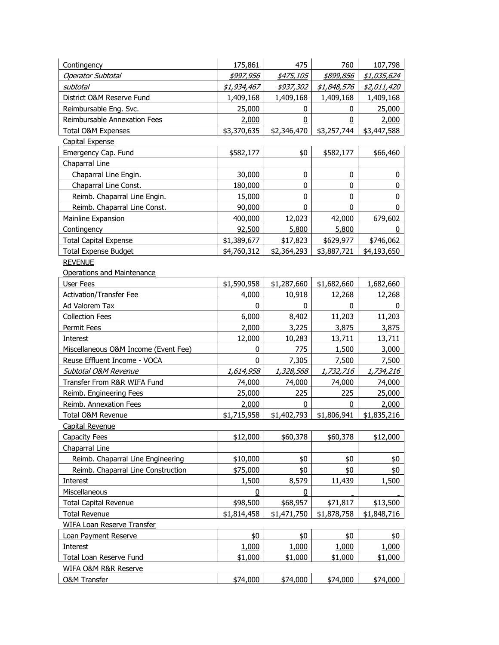| Contingency                          | 175,861     | 475              | 760         | 107,798     |  |  |
|--------------------------------------|-------------|------------------|-------------|-------------|--|--|
| <b>Operator Subtotal</b>             | \$997,956   | \$475,105        | \$899,856   | \$1,035,624 |  |  |
| subtotal                             | \$1,934,467 | <i>\$937,302</i> | \$1,848,576 | \$2,011,420 |  |  |
| District O&M Reserve Fund            | 1,409,168   | 1,409,168        | 1,409,168   | 1,409,168   |  |  |
| Reimbursable Eng. Svc.               | 25,000      | 0                | 0           | 25,000      |  |  |
| Reimbursable Annexation Fees         | 2,000       | 0                | 0           | 2,000       |  |  |
| Total O&M Expenses                   | \$3,370,635 | \$2,346,470      | \$3,257,744 | \$3,447,588 |  |  |
| <b>Capital Expense</b>               |             |                  |             |             |  |  |
| Emergency Cap. Fund                  | \$582,177   | \$0              | \$582,177   | \$66,460    |  |  |
| Chaparral Line                       |             |                  |             |             |  |  |
| Chaparral Line Engin.                | 30,000      | 0                | 0           | 0           |  |  |
| Chaparral Line Const.                | 180,000     | 0                | $\mathbf 0$ | $\pmb{0}$   |  |  |
| Reimb. Chaparral Line Engin.         | 15,000      | 0                | 0           | $\pmb{0}$   |  |  |
| Reimb. Chaparral Line Const.         | 90,000      | $\mathbf 0$      | 0           | 0           |  |  |
| Mainline Expansion                   | 400,000     | 12,023           | 42,000      | 679,602     |  |  |
| Contingency                          | 92,500      | 5,800            | 5,800       | 0           |  |  |
| <b>Total Capital Expense</b>         | \$1,389,677 | \$17,823         | \$629,977   | \$746,062   |  |  |
| <b>Total Expense Budget</b>          | \$4,760,312 | \$2,364,293      | \$3,887,721 | \$4,193,650 |  |  |
| <b>REVENUE</b>                       |             |                  |             |             |  |  |
| <b>Operations and Maintenance</b>    |             |                  |             |             |  |  |
| <b>User Fees</b>                     | \$1,590,958 | \$1,287,660      | \$1,682,660 | 1,682,660   |  |  |
| <b>Activation/Transfer Fee</b>       | 4,000       | 10,918           | 12,268      | 12,268      |  |  |
| Ad Valorem Tax                       | 0           | 0                | 0           | 0           |  |  |
| <b>Collection Fees</b>               | 6,000       | 8,402            | 11,203      | 11,203      |  |  |
| Permit Fees                          | 2,000       | 3,225            | 3,875       | 3,875       |  |  |
| Interest                             | 12,000      | 10,283           | 13,711      | 13,711      |  |  |
| Miscellaneous O&M Income (Event Fee) | 0           | 775              | 1,500       | 3,000       |  |  |
| Reuse Effluent Income - VOCA         | 0           | 7,305            | 7,500       | 7,500       |  |  |
| Subtotal O&M Revenue                 | 1,614,958   | 1,328,568        | 1,732,716   | 1,734,216   |  |  |
| Transfer From R&R WIFA Fund          | 74,000      | 74,000           | 74,000      | 74,000      |  |  |
| Reimb. Engineering Fees              | 25,000      | 225              | 225         | 25,000      |  |  |
| Reimb. Annexation Fees               | 2,000       | 0                | 0           | 2,000       |  |  |
| Total O&M Revenue                    | \$1,715,958 | \$1,402,793      | \$1,806,941 | \$1,835,216 |  |  |
| Capital Revenue                      |             |                  |             |             |  |  |
| Capacity Fees                        | \$12,000    | \$60,378         | \$60,378    | \$12,000    |  |  |
| Chaparral Line                       |             |                  |             |             |  |  |
| Reimb. Chaparral Line Engineering    | \$10,000    | \$0              | \$0         | \$0         |  |  |
| Reimb. Chaparral Line Construction   | \$75,000    | \$0              | \$0         | \$0         |  |  |
| Interest                             | 1,500       | 8,579            | 11,439      | 1,500       |  |  |
| Miscellaneous                        | 0           | 0                |             |             |  |  |
| <b>Total Capital Revenue</b>         | \$98,500    | \$68,957         | \$71,817    | \$13,500    |  |  |
| <b>Total Revenue</b>                 | \$1,814,458 | \$1,471,750      | \$1,878,758 | \$1,848,716 |  |  |
| WIFA Loan Reserve Transfer           |             |                  |             |             |  |  |
| Loan Payment Reserve                 | \$0         | \$0              | \$0         | \$0         |  |  |
| Interest                             | 1,000       | 1,000            | 1,000       | 1,000       |  |  |
| Total Loan Reserve Fund              | \$1,000     | \$1,000          | \$1,000     | \$1,000     |  |  |
| <b>WIFA O&amp;M R&amp;R Reserve</b>  |             |                  |             |             |  |  |
| <b>O&amp;M Transfer</b>              | \$74,000    | \$74,000         | \$74,000    | \$74,000    |  |  |